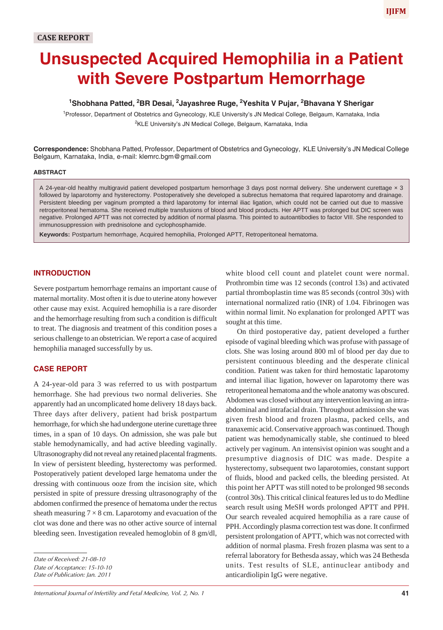# **Unsuspected Acquired Hemophilia in a Patient with Severe Postpartum Hemorrhage**

## <sup>1</sup>Shobhana Patted, <sup>2</sup>BR Desai, <sup>2</sup>Jayashree Ruge, <sup>2</sup>Yeshita V Pujar, <sup>2</sup>Bhavana Y Sherigar

<sup>1</sup> Professor, Department of Obstetrics and Gynecology, KLE University's JN Medical College, Belgaum, Karnataka, India <sup>2</sup>KLE University's JN Medical College, Belgaum, Karnataka, India

**Correspondence:** Shobhana Patted, Professor, Department of Obstetrics and Gynecology, KLE University's JN Medical College Belgaum, Karnataka, India, e-mail: klemrc.bgm@gmail.com

#### **ABSTRACT**

A 24-year-old healthy multigravid patient developed postpartum hemorrhage 3 days post normal delivery. She underwent curettage × 3 followed by laparotomy and hysterectomy. Postoperatively she developed a subrectus hematoma that required laparotomy and drainage. Persistent bleeding per vaginum prompted a third laparotomy for internal iliac ligation, which could not be carried out due to massive retroperitoneal hematoma. She received multiple transfusions of blood and blood products. Her APTT was prolonged but DIC screen was negative. Prolonged APTT was not corrected by addition of normal plasma. This pointed to autoantibodies to factor VIII. She responded to immunosuppression with prednisolone and cyclophosphamide.

**Keywords:** Postpartum hemorrhage, Acquired hemophilia, Prolonged APTT, Retroperitoneal hematoma.

#### **INTRODUCTION**

Severe postpartum hemorrhage remains an important cause of maternal mortality. Most often it is due to uterine atony however other cause may exist. Acquired hemophilia is a rare disorder and the hemorrhage resulting from such a condition is difficult to treat. The diagnosis and treatment of this condition poses a serious challenge to an obstetrician. We report a case of acquired hemophilia managed successfully by us.

### **CASE REPORT**

A 24-year-old para 3 was referred to us with postpartum hemorrhage. She had previous two normal deliveries. She apparently had an uncomplicated home delivery 18 days back. Three days after delivery, patient had brisk postpartum hemorrhage, for which she had undergone uterine curettage three times, in a span of 10 days. On admission, she was pale but stable hemodynamically, and had active bleeding vaginally. Ultrasonography did not reveal any retained placental fragments. In view of persistent bleeding, hysterectomy was performed. Postoperatively patient developed large hematoma under the dressing with continuous ooze from the incision site, which persisted in spite of pressure dressing ultrasonography of the abdomen confirmed the presence of hematoma under the rectus sheath measuring  $7 \times 8$  cm. Laparotomy and evacuation of the clot was done and there was no other active source of internal bleeding seen. Investigation revealed hemoglobin of 8 gm/dl,

*Date of Acceptance: 15-10-10*

*Date of Publication: Jan. 2011*

white blood cell count and platelet count were normal. Prothrombin time was 12 seconds (control 13s) and activated partial thromboplastin time was 85 seconds (control 30s) with international normalized ratio (INR) of 1.04. Fibrinogen was within normal limit. No explanation for prolonged APTT was sought at this time.

On third postoperative day, patient developed a further episode of vaginal bleeding which was profuse with passage of clots. She was losing around 800 ml of blood per day due to persistent continuous bleeding and the desperate clinical condition. Patient was taken for third hemostatic laparotomy and internal iliac ligation, however on laparotomy there was retroperitoneal hematoma and the whole anatomy was obscured. Abdomen was closed without any intervention leaving an intraabdominal and intrafacial drain. Throughout admission she was given fresh blood and frozen plasma, packed cells, and tranaxemic acid. Conservative approach was continued. Though patient was hemodynamically stable, she continued to bleed actively per vaginum. An intensivist opinion was sought and a presumptive diagnosis of DIC was made. Despite a hysterectomy, subsequent two laparotomies, constant support of fluids, blood and packed cells, the bleeding persisted. At this point her APTT was still noted to be prolonged 98 seconds (control 30s). This critical clinical features led us to do Medline search result using MeSH words prolonged APTT and PPH. Our search revealed acquired hemophilia as a rare cause of PPH. Accordingly plasma correction test was done. It confirmed persistent prolongation of APTT, which was not corrected with addition of normal plasma. Fresh frozen plasma was sent to a referral laboratory for Bethesda assay, which was 24 Bethesda units. Test results of SLE, antinuclear antibody and anticardiolipin IgG were negative.

*Date of Received: 21-08-10*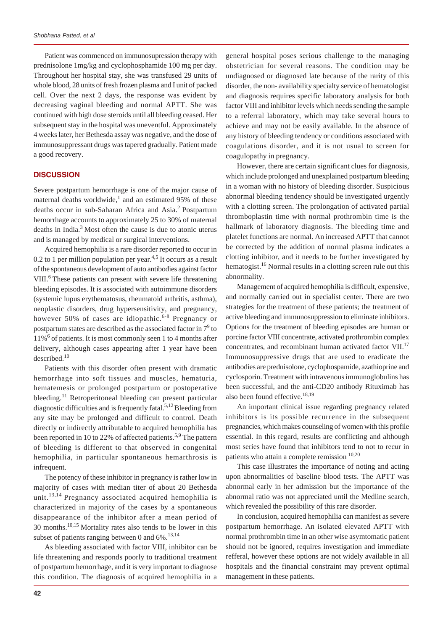Patient was commenced on immunosupression therapy with prednisolone 1mg/kg and cyclophosphamide 100 mg per day. Throughout her hospital stay, she was transfused 29 units of whole blood, 28 units of fresh frozen plasma and I unit of packed cell. Over the next 2 days, the response was evident by decreasing vaginal bleeding and normal APTT. She was continued with high dose steroids until all bleeding ceased. Her subsequent stay in the hospital was uneventful. Approximately 4 weeks later, her Bethesda assay was negative, and the dose of immunosuppressant drugs was tapered gradually. Patient made a good recovery.

#### **DISCUSSION**

Severe postpartum hemorrhage is one of the major cause of maternal deaths worldwide,<sup>1</sup> and an estimated 95% of these deaths occur in sub-Saharan Africa and Asia.<sup>2</sup> Postpartum hemorrhage accounts to approximately 25 to 30% of maternal deaths in India.3 Most often the cause is due to atonic uterus and is managed by medical or surgical interventions.

Acquired hemophilia is a rare disorder reported to occur in 0.2 to 1 per million population per year. $4,5$  It occurs as a result of the spontaneous development of auto antibodies against factor VIII.<sup>6</sup> These patients can present with severe life threatening bleeding episodes. It is associated with autoimmune disorders (systemic lupus erythematosus, rheumatoid arthritis, asthma), neoplastic disorders, drug hypersensitivity, and pregnancy, however 50% of cases are idiopathic.<sup>6-8</sup> Pregnancy or postpartum states are described as the associated factor in  $7^9$  to 11%6 of patients. It is most commonly seen 1 to 4 months after delivery, although cases appearing after 1 year have been described.<sup>10</sup>

Patients with this disorder often present with dramatic hemorrhage into soft tissues and muscles, hematuria, hematemesis or prolonged postpartum or postoperative bleeding.<sup>11</sup> Retroperitoneal bleeding can present particular diagnostic difficulties and is frequently fatal.<sup>5,12</sup> Bleeding from any site may be prolonged and difficult to control. Death directly or indirectly attributable to acquired hemophilia has been reported in 10 to 22% of affected patients.<sup>5,9</sup> The pattern of bleeding is different to that observed in congenital hemophilia, in particular spontaneous hemarthrosis is infrequent.

The potency of these inhibitor in pregnancy is rather low in majority of cases with median titer of about 20 Bethesda unit.<sup>13,14</sup> Pregnancy associated acquired hemophilia is characterized in majority of the cases by a spontaneous disappearance of the inhibitor after a mean period of 30 months.10,15 Mortality rates also tends to be lower in this subset of patients ranging between 0 and  $6\%$ .<sup>13,14</sup>

As bleeding associated with factor VIII, inhibitor can be life threatening and responds poorly to traditional treatment of postpartum hemorrhage, and it is very important to diagnose this condition. The diagnosis of acquired hemophilia in a general hospital poses serious challenge to the managing obstetrician for several reasons. The condition may be undiagnosed or diagnosed late because of the rarity of this disorder, the non- availability specialty service of hematologist and diagnosis requires specific laboratory analysis for both factor VIII and inhibitor levels which needs sending the sample to a referral laboratory, which may take several hours to achieve and may not be easily available. In the absence of any history of bleeding tendency or conditions associated with coagulations disorder, and it is not usual to screen for coagulopathy in pregnancy.

However, there are certain significant clues for diagnosis, which include prolonged and unexplained postpartum bleeding in a woman with no history of bleeding disorder. Suspicious abnormal bleeding tendency should be investigated urgently with a clotting screen. The prolongation of activated partial thromboplastin time with normal prothrombin time is the hallmark of laboratory diagnosis. The bleeding time and platelet functions are normal. An increased APTT that cannot be corrected by the addition of normal plasma indicates a clotting inhibitor, and it needs to be further investigated by hematogist.<sup>16</sup> Normal results in a clotting screen rule out this abnormality.

Management of acquired hemophilia is difficult, expensive, and normally carried out in specialist center. There are two strategies for the treatment of these patients; the treatment of active bleeding and immunosuppression to eliminate inhibitors. Options for the treatment of bleeding episodes are human or porcine factor VIII concentrate, activated prothrombin complex concentrates, and recombinant human activated factor VII.<sup>17</sup> Immunosuppressive drugs that are used to eradicate the antibodies are prednisolone, cyclophospamide, azathioprine and cyclosporin. Treatment with intravenous immunoglobulins has been successful, and the anti-CD20 antibody Rituximab has also been found effective. $18,19$ 

An important clinical issue regarding pregnancy related inhibitors is its possible recurrence in the subsequent pregnancies, which makes counseling of women with this profile essential. In this regard, results are conflicting and although most series have found that inhibitors tend to not to recur in patients who attain a complete remission  $^{10,20}$ 

This case illustrates the importance of noting and acting upon abnormalities of baseline blood tests. The APTT was abnormal early in her admission but the importance of the abnormal ratio was not appreciated until the Medline search, which revealed the possibility of this rare disorder.

In conclusion, acquired hemophilia can manifest as severe postpartum hemorrhage. An isolated elevated APTT with normal prothrombin time in an other wise asymtomatic patient should not be ignored, requires investigation and immediate refferal, however these options are not widely available in all hospitals and the financial constraint may prevent optimal management in these patients.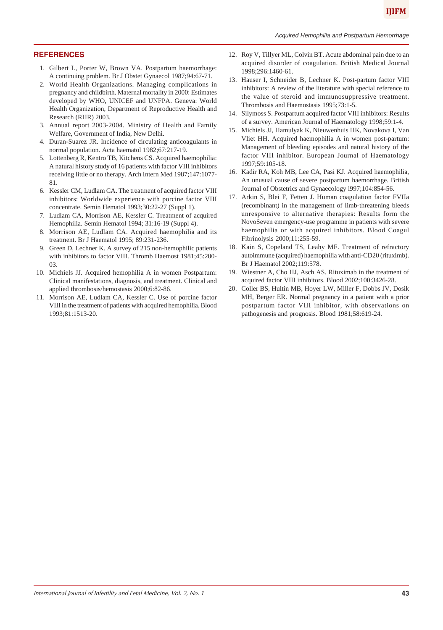## **REFERENCES**

- 1. Gilbert L, Porter W, Brown VA. Postpartum haemorrhage: A continuing problem. Br J Obstet Gynaecol 1987;94:67-71.
- 2. World Health Organizations. Managing complications in pregnancy and childbirth. Maternal mortality in 2000: Estimates developed by WHO, UNICEF and UNFPA. Geneva: World Health Organization, Department of Reproductive Health and Research (RHR) 2003.
- 3. Annual report 2003-2004. Ministry of Health and Family Welfare, Government of India, New Delhi.
- 4. Duran-Suarez JR. Incidence of circulating anticoagulants in normal population. Acta haematol 1982;67:217-19.
- 5. Lottenberg R, Kentro TB, Kitchens CS. Acquired haemophilia: A natural history study of 16 patients with factor VIII inhibitors receiving little or no therapy. Arch Intern Med 1987;147:1077- 81.
- 6. Kessler CM, Ludlam CA. The treatment of acquired factor VIII inhibitors: Worldwide experience with porcine factor VIII concentrate. Semin Hematol 1993;30:22-27 (Suppl 1).
- 7. Ludlam CA, Morrison AE, Kessler C. Treatment of acquired Hemophilia. Semin Hematol 1994; 31:16-19 (Suppl 4).
- 8. Morrison AE, Ludlam CA. Acquired haemophilia and its treatment. Br J Haematol 1995; 89:231-236.
- 9. Green D, Lechner K. A survey of 215 non-hemophilic patients with inhibitors to factor VIII. Thromb Haemost 1981;45:200- 03.
- 10. Michiels JJ. Acquired hemophilia A in women Postpartum: Clinical manifestations, diagnosis, and treatment. Clinical and applied thrombosis/hemostasis 2000;6:82-86.
- 11. Morrison AE, Ludlam CA, Kessler C. Use of porcine factor VIII in the treatment of patients with acquired hemophilia. Blood 1993;81:1513-20.
- 12. Roy V, Tillyer ML, Colvin BT. Acute abdominal pain due to an acquired disorder of coagulation. British Medical Journal 1998;296:1460-61.
- 13. Hauser I, Schneider B, Lechner K. Post-partum factor VIII inhibitors: A review of the literature with special reference to the value of steroid and immunosuppressive treatment. Thrombosis and Haemostasis 1995;73:1-5.
- 14. Silymoss S. Postpartum acquired factor VIII inhibitors: Results of a survey. American Journal of Haematology 1998;59:1-4.
- 15. Michiels JJ, Hamulyak K, Nieuwenhuis HK, Novakova I, Van Vliet HH. Acquired haemophilia A in women post-partum: Management of bleeding episodes and natural history of the factor VIII inhibitor. European Journal of Haematology 1997;59:105-18.
- 16. Kadir RA, Koh MB, Lee CA, Pasi KJ. Acquired haemophilia, An unusual cause of severe postpartum haemorrhage. British Journal of Obstetrics and Gynaecology l997;104:854-56.
- 17. Arkin S, Blei F, Fetten J. Human coagulation factor FVIIa (recombinant) in the management of limb-threatening bleeds unresponsive to alternative therapies: Results form the NovoSeven emergency-use programme in patients with severe haemophilia or with acquired inhibitors. Blood Coagul Fibrinolysis 2000;11:255-59.
- 18. Kain S, Copeland TS, Leahy MF. Treatment of refractory autoimmune (acquired) haemophilia with anti-CD20 (rituximb). Br J Haematol 2002;119:578.
- 19. Wiestner A, Cho HJ, Asch AS. Rituximab in the treatment of acquired factor VIII inhibitors. Blood 2002;100:3426-28.
- 20. Coller BS, Hultin MB, Hoyer LW, Miller F, Dobbs JV, Dosik MH, Berger ER. Normal pregnancy in a patient with a prior postpartum factor VIII inhibitor, with observations on pathogenesis and prognosis. Blood 1981;58:619-24.